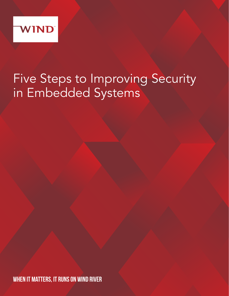

# Five Steps to Improving Security in Embedded Systems

WHEN IT MATTERS, IT RUNS ON WIND RIVER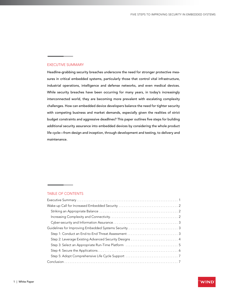## EXECUTIVE SUMMARY

Headline-grabbing security breaches underscore the need for stronger protective measures in critical embedded systems, particularly those that control vital infrastructure, industrial operations, intelligence and defense networks, and even medical devices. While security breaches have been occurring for many years, in today's increasingly interconnected world, they are becoming more prevalent with escalating complexity challenges. How can embedded device developers balance the need for tighter security with competing business and market demands, especially given the realities of strict budget constraints and aggressive deadlines? This paper outlines five steps for building additional security assurance into embedded devices by considering the whole product life cycle—from design and inception, through development and testing, to delivery and maintenance.

## TABLE OF CONTENTS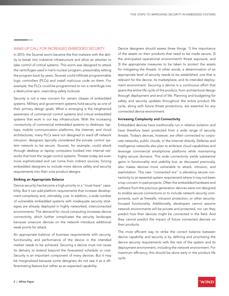## WAKE-UP CALL FOR INCREASED EMBEDDED SECURITY

In 2010, the Stuxnet worm became the first malware with the ability to break into industrial infrastructure and allow an attacker to take control of critical systems. This worm was designed to attack the centrifuges used in Iran's nuclear program, presumably setting the program back by years. Stuxnet could infiltrate programmable logic controllers (PLCs) and install malicious code on them. For example, the PLCs could be programmed to run a centrifuge into a destructive spin, overriding safety lockouts.

Security is not a new concern for certain classes of embedded systems. Military and government systems hold security as one of their primary design goals. What is emerging is the heightened awareness of commercial control systems and critical embedded systems that work in our key infrastructure. With the increasing connectivity of commercial embedded systems to desktops, laptops, mobile communication platforms, the Internet, and cloud architectures, many PLCs were not designed to ward off network intrusion; designers typically considered the private control system network to be secure. Stuxnet, for example, could attack through desktop or laptop computers hooked into internal networks that host the target control systems. Threats today are even more sophisticated and can come from indirect sources, forcing embedded designers to include more device safety and security requirements into their core product designs.

### Striking an Appropriate Balance

Device security has become a high priority or a "must-have" capability. But it can add platform requirements that increase development complexity and, ultimately, cost. In addition, a wide number of vulnerable embedded systems with inadequate security strategies are already deployed in highly networked, interconnected environments. The demand for cloud computing increases device connectivity, which further complicates the security landscape because unsecure devices on the network introduce additional weak points for attack.

An appropriate balance of business requirements with security, functionality, and performance of the device in the intended market needs to be achieved. Securing a device must not cause its delivery to extend beyond the forecasted schedule or cost. Security is an important component of many devices. But it may be marginalized because some designers do not see it as a differentiating feature but rather as an expected capability.

Device designers should assess three things: 1) the importance of the assets on their products that need to be made secure, 2) the anticipated operational environment's threat exposure, and 3) the appropriate measures to be taken to protect the assets for mitigating the threats. In other words, a determination of an appropriate level of security needs to be established, one that is relevant for the device, its marketplace, and its intended deployment environment. Securing a device is a continuous effort that spans the entire life cycle of the product, from architectural design through deployment and end of life. Planning and budgeting for safety and security updates throughout the entire product life cycle, along with future threat protections, are essential for any connected device environment.

#### Increasing Complexity and Connectivity

Embedded devices have traditionally run in relative isolation and have therefore been protected from a wide range of security threats. Today's devices, however, are often connected to corporate networks, public clouds, or the Internet directly. Defense and intelligence networks also plan to embrace cloud capabilities and leverage commercial smartphone platforms while maintaining highly secure domains. This wide connectivity yields substantial gains in functionality and usability but, as discussed previously, also makes devices more vulnerable to attack, intrusion, and exploitation. This new "connected era" is elevating secure connectivity to an essential system requirement where it may not been a top concern in past projects. Often the embedded hardware and software from the previous-generation devices were not designed to enable secure connections or to include network security components, such as firewalls, intrusion protection, or other securityfocused functionality. Additionally, developers cannot assume network environments will be private and protected, nor can they predict how their devices might be connected in the field. And they cannot predict the impact of future connected devices on their products.

The most efficient way to strike the correct balance between device capability and security is by defining and prioritizing the device security requirements with the rest of the system and its deployment environment, including the network environment. For maximum efficiency, this should be done early in the product life cycle.

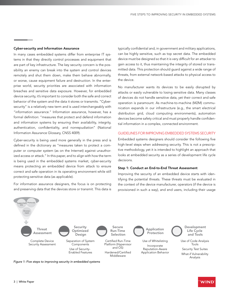#### Cyber-security and Information Assurance

In many cases embedded systems differ from enterprise IT systems in that they directly control processes and equipment that are part of key infrastructure. The key security concern is the possibility an enemy can break into the system and control devices remotely and shut them down, make them behave abnormally, or worse, cause equipment failure and destruction. In the enterprise world, security priorities are associated with information breaches and sensitive data exposure. However, for embedded device security, it's important to consider both the safe and correct behavior of the system and the data it stores or transmits. "Cybersecurity" is a relatively new term and is used interchangeably with "information assurance." Information assurance, however, has a formal definition: "measures that protect and defend information and information systems by ensuring their availability, integrity, authentication, confidentiality, and nonrepudiation" (National Information Assurance Glossary, CNSS 4009).

Cyber-security is being used more generally in the press and is defined in the dictionary as "measures taken to protect a computer or computer system (as on the Internet) against unauthorized access or attack." In this paper, and to align with how the term is being used in the embedded systems market, cyber-security means protecting an embedded device from attack to ensure correct and safe operation in its operating environment while still protecting sensitive data (as applicable).

For information assurance designers, the focus is on protecting and preserving data that the devices store or transmit. This data is

typically confidential and, in government and military applications, can be highly sensitive, such as top secret data. The embedded device must be designed so that it is very difficult for an attacker to gain access to it, thus maintaining the integrity of stored or transmitted data. This protection should guard against a wide range of threats, from external network-based attacks to physical access to the device.

No manufacturer wants its devices to be easily disrupted by attacks or easily vulnerable to losing sensitive data. Many classes of devices do not handle sensitive data, yet their correct and safe operation is paramount. As machine-to-machine (M2M) communication expands in our infrastructure (e.g., the smart electrical distribution grid, cloud computing environments), automation devices become safety critical and must properly handle confidential information in a complex, connected environment.

## GUIDELINES FOR IMPROVING EMBEDDED SYSTEMS SECURITY

Embedded systems designers should consider the following five high-level steps when addressing security. This is not a prescriptive methodology, yet it is intended to highlight an approach that looks at embedded security as a series of development life cycle decisions.

#### Step 1: Conduct an End-to-End Threat Assessment

Improving the security of an embedded device starts with identifying the potential threats. These threats must be evaluated in the context of the device manufacturer, operators (if the device is provisioned in such a way), and end users, including their usage

WIND



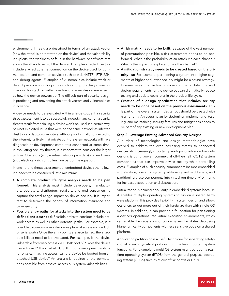environment. Threats are described in terms of an attack vector (how the attack is perpetrated on the device) and the vulnerability it exploits (the weakness or fault in the hardware or software that allows the attack to exploit the device). Examples of attack vectors include a wired Ethernet connection on the device used for communication, and common services such as web (HTTP), FTP, SSH, and debug agents. Examples of vulnerabilities include weak or default passwords, coding errors such as not protecting against or checking for stack or buffer overflows, or even design errors such as how the device powers up. The difficult part of security design is predicting and preventing the attack vectors and vulnerabilities in advance.

A device needs to be evaluated within a large scope if a security threat assessment is to be successful. Indeed, many current security threats result from thinking a device won't be used in a certain way. Stuxnet exploited PLCs that were on the same network as infected desktop and laptop computers. Although not initially connected to the Internet, it's likely that private control system networks will have diagnostic or development computers connected at some time. In evaluating security threats, it is important to consider the larger picture: Operators (e.g., wireless network providers) and end users (e.g., electrical grid controllers) are part of the equation.

In end-to-end threat assessment of embedded devices the following needs to be considered, at a minimum:

- A complete product life cycle analysis needs to be performed: This analysis must include developers, manufacturers, operators, distributors, retailers, and end consumers to capture the total usage impact on device security. It is important to determine the priority of information assurance and cyber-security.
- Possible entry paths for attacks into the system need to be defined and described: Possible paths to consider include network access as well as other potential paths. For example, is it possible to compromise a device via physical access such as USB or serial ports? Once the entry points are ascertained, the attack possibilities need to be evaluated. For example, is the device vulnerable from web access via TCP/IP port 80? Does the device use a firewall? If not, what TCP/UDP ports are open? Similarly, for physical machine access, can the device be booted from an attached USB device? An analysis is required of the permutations possible from physical access plus system vulnerabilities.
- A risk matrix needs to be built: Because of the vast number of permutations possible, a risk assessment needs to be performed. What is the probability of an attack via each channel? What is the impact of exploitation via this channel?
- A mitigation strategy needs to be created based on the priority list: For example, partitioning a system into higher segments of higher and lower security might be a sound strategy. In some cases, this can lead to more complex architectural and design requirements for the device but can dramatically reduce testing and update costs later in the product life cycle.
- Creation of a design specification that includes security needs to be done based on the previous assessments: This is part of the overall system design but should be treated with high priority. An overall plan for designing, implementing, testing, and maintaining security features and mitigations needs to be part of any existing or new development plan.

#### Step 2: Leverage Existing Advanced Security Designs

A number of technologies and design methodologies have evolved to address the ever increasing threats to connected devices. An increasingly important paradigm for advanced security designs is using proven commercial off-the-shelf (COTS) system components that can improve device security while controlling costs. Examples of such security components include embedded virtualization, operating system partitioning, and middleware, and partitioning these components into virtual run-time environments for increased separation and abstraction.

Virtualization is gaining popularity in embedded systems because it enables multiple operating systems to run on a shared hardware platform. This provides flexibility in system design and allows designers to get more out of their hardware than with single-OS systems. In addition, it can provide a foundation for partitioning a device's operations into virtual execution environments, which can enable the separation of concerns and facilitates deploying higher criticality components with less sensitive code on a shared platform.

Application partitioning is a useful technique for separating safetycritical or security-critical portions from the less important system functions. For example, a multi-OS system might partition a realtime operating system (RTOS) from the general purpose operating system (GPOS) such as Microsoft Windows or Linux.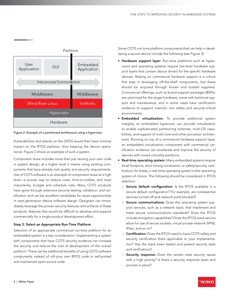

*Figure 2: Example of a partitioned architecture using a hypervisor* 

Vulnerabilities and attacks on the GPOS would then have minimal impact on the RTOS partition, thus keeping the device operational. Figure 2 shows an example of such a system.

Component reuse includes more than just reusing your own code in system design; at a higher level it means using existing components that have already met quality and security requirements. Use of COTS software is an example of component reuse at a high level—a proven way to reduce costs, time-to-market, and most importantly, budget and schedule risks. Many COTS products have gone through extensive security testing, validation, and certification and can be excellent candidates for reuse opportunities in next-generation device software design. Designers can immediately leverage the proven security features and artifacts of these products, features that would be difficult to develop and support commercially for a single product development effort.

## Step 3: Select an Appropriate Run-Time Platform

Selection of an appropriate commercial run-time platform for an embedded system is a key consideration. Implementing a system with components that have COTS security evidence can increase the security and reduce the cost of development of the overall platform. There can be additional benefits of using COTS software components instead of roll-your own (RYO) code or self-ported and maintained open source code.

Some COTS run-time platform components that can help in developing a secure device include the following (see Figure 3):

- Hardware support layer: Run-time platforms such as hypervisors and operating systems require low-level hardware support layers that contain device drivers for the specific hardware devices. Relying on commercial hardware support is a critical first step in leveraging off-the-shelf components, but these should be acquired through known and trusted suppliers. Commercial offerings, such as board support packages (BSPs), are optimized for the target hardware, come with technical support and maintenance, and in some cases have certification evidence to support insertion into safety and security-critical environments.
- Embedded virtualization: To provide additional system integrity, an embedded hypervisor can provide virtualization to enable sophisticated partitioning schemes, multi-OS capabilities, and support of multi-core and other processor architectures. Running on top of a commercial hardware support layer, an embedded virtualization component with commercial certification evidence can accelerate and improve the security of devices with mixed-criticality partitions.
- Real-time operating system: Many embedded systems require small footprint, strict timing constraints, or safety/security certification; for these, a real-time operating system is the operating system of choice. The following should be considered in RTOS selection:
	- Secure default configuration: Is the RTOS available in a secure default configuration? For example, are nonessential services turned off and network ports blocked?
	- Secure communications: Does the operating system support services, such as a network stack, that implement and meet secure communications standards? Does the RTOS include encryption capabilities? Does the RTOS stack service allow for use of secure sockets, virtual private network (VPN), IPsec, and so on?
	- Certification: Does the RTOS need to have COTS safety and security certification that's applicable to your implementation? Has the stack been tested and passed security tests and verifications?
	- Security response: Does the vendor treat security issues with a high priority? Is there a security response team and process in place?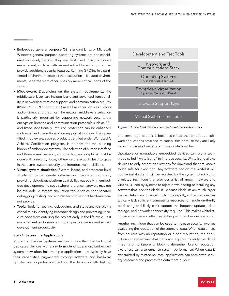- Embedded general purpose OS: Standard Linux or Microsoft Windows general purpose operating systems are not considered extremely secure. They are best used in a partitioned environment, such as with an embedded hypervisor, that can provide additional security features. Running GPOSes in a partitioned environment enables their execution in isolated environments, separate from other, possibly more critical, parts of the system.
- Middleware: Depending on the system requirements, the middleware layer can include basic and advanced functionality in networking, wireless support, and communication security (IPsec, IKE, VPN support, etc.) as well as other services such as audio, video, and graphics. The network middleware selection is particularly important for supporting network security via encryption libraries and communication protocols such as SSL and IPsec. Additionally, intrusion protection can be enhanced via firewall and use authorization support at this level. Using certified middleware, such as products certified under Wurldtech's Achilles Certification program, is prudent for the building blocks of embedded systems. The selection of human interface middleware services (e.g., audio, video, and graphics) must be done with a security focus; otherwise these could lead to gaps in the overall system security and introduce vulnerabilities.
- Virtual system simulation: System, board, and processor-level simulation can accelerate software and hardware integration, providing ubiquitous platform availability, especially in embedded development life cycles where reference hardware may not be available. A system simulation tool enables sophisticated debugging, testing, and analysis techniques that hardware cannot provide.
- Tools: Tools for testing, debugging, and static analysis play a critical role in identifying improper design and preventing unsecure code from entering the project early in the life cycle. Test management and simulation tools greatly increase embedded development productivity.

### Step 4: Secure the Applications

Modern embedded systems are much more than the traditional dedicated devices with a single mode of operation. Embedded systems now often host multiple applications and typically have their capabilities augmented through software and hardware updates and upgrades over the life of the device. As with desktop



Virtual System Simulation



and server applications, it becomes critical that embedded software applications have secure capabilities because they are likely to be the target of malicious code or data breaches.

Updatable or upgradable embedded devices can use a technique called "whitelisting" to improve security. Whitelisting allows devices to only accept applications for download that are known to be safe for execution. Any software not on the whitelist will not be installed and will be rejected by the system. Blacklisting, a related technique that provides a list of known malware and viruses, is used by systems to reject downloading or installing any software that is on the blacklist. Because blacklists are much larger than whitelists and change much more rapidly, embedded devices typically lack sufficient computing resources to handle on-the-fly blacklisting and likely can't support the frequent updates, data storage, and network connectivity required. This makes whitelisting an attractive and effective technique for embedded systems.

Another technique that can be used to increase security involves evaluating the reputation of the source of data. When data arrives from sources with no reputation or a bad reputation, the application can determine what steps are required to verify the data's integrity or to ignore or block it altogether. Use of reputation awareness can also enhance system performance: When data is transmitted by trusted sources, applications can accelerate security screening and process the data more quickly.